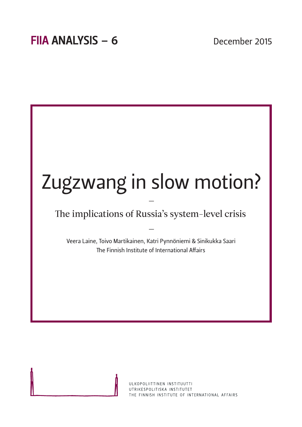

ULKOPOLIITTINEN INSTITUUTTI UTRIKESPOLITISKA INSTITUTET THE FINNISH INSTITUTE OF INTERNATIONAL AFFAIRS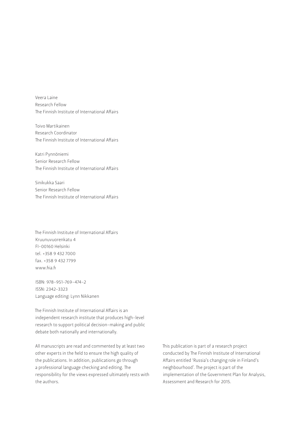Veera Laine Research Fellow The Finnish Institute of International Affairs

Toivo Martikainen Research Coordinator The Finnish Institute of International Affairs

Katri Pynnöniemi Senior Research Fellow The Finnish Institute of International Affairs

Sinikukka Saari Senior Research Fellow The Finnish Institute of International Affairs

The Finnish Institute of International Affairs Kruunuvuorenkatu 4 FI-00160 Helsinki tel. +358 9 432 7000 fax. +358 9 432 7799 www.fiia.fi

ISBN: 978-951-769-474-2 ISSN: 2342-3323 Language editing: Lynn Nikkanen

The Finnish Institute of International Affairs is an independent research institute that produces high-level research to support political decision-making and public debate both nationally and internationally.

All manuscripts are read and commented by at least two other experts in the field to ensure the high quality of the publications. In addition, publications go through a professional language checking and editing. The responsibility for the views expressed ultimately rests with the authors.

This publication is part of a research project conducted by The Finnish Institute of International Affairs entitled 'Russia's changing role in Finland's neighbourhood'. The project is part of the [implementation of the Government Plan for Analysis,](http://vnk.fi/valtioneuvoston-selvitys-ja-tutkimustoiminta)  Assessment and Research for 2015.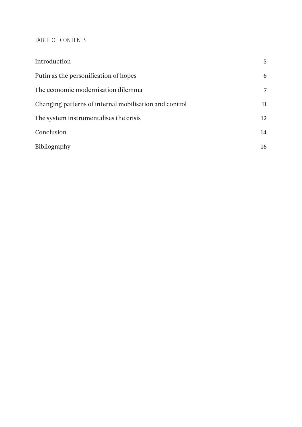# TABLE OF CONTENTS

| Introduction                                           | 5  |
|--------------------------------------------------------|----|
| Putin as the personification of hopes                  | 6  |
| The economic modernisation dilemma                     | 7  |
| Changing patterns of internal mobilisation and control | 11 |
| The system instrumentalises the crisis                 | 12 |
| Conclusion                                             | 14 |
| <b>Bibliography</b>                                    | 16 |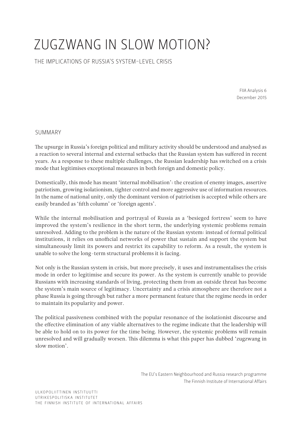# ZUGZWANG IN SLOW MOTION?

THE IMPLICATIONS OF RUSSIA'S SYSTEM-LEVEL CRISIS

FIIA Analysis 6 December 2015

# SUMMARY

The upsurge in Russia's foreign political and military activity should be understood and analysed as a reaction to several internal and external setbacks that the Russian system has suffered in recent years. As a response to these multiple challenges, the Russian leadership has switched on a crisis mode that legitimises exceptional measures in both foreign and domestic policy.

Domestically, this mode has meant 'internal mobilisation': the creation of enemy images, assertive patriotism, growing isolationism, tighter control and more aggressive use of information resources. In the name of national unity, only the dominant version of patriotism is accepted while others are easily branded as 'fifth column' or 'foreign agents'.

While the internal mobilisation and portrayal of Russia as a 'besieged fortress' seem to have improved the system's resilience in the short term, the underlying systemic problems remain unresolved. Adding to the problem is the nature of the Russian system: instead of formal political institutions, it relies on unofficial networks of power that sustain and support the system but simultaneously limit its powers and restrict its capability to reform. As a result, the system is unable to solve the long-term structural problems it is facing.

Not only is the Russian system in crisis, but more precisely, it uses and instrumentalises the crisis mode in order to legitimise and secure its power. As the system is currently unable to provide Russians with increasing standards of living, protecting them from an outside threat has become the system's main source of legitimacy. Uncertainty and a crisis atmosphere are therefore not a phase Russia is going through but rather a more permanent feature that the regime needs in order to maintain its popularity and power.

The political passiveness combined with the popular resonance of the isolationist discourse and the effective elimination of any viable alternatives to the regime indicate that the leadership will be able to hold on to its power for the time being. However, the systemic problems will remain unresolved and will gradually worsen. This dilemma is what this paper has dubbed 'zugzwang in slow motion'.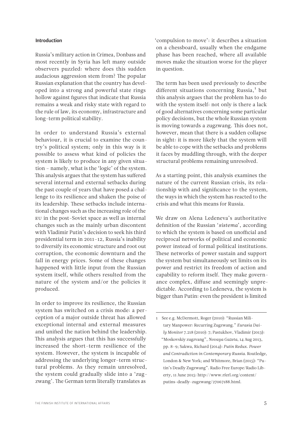#### <span id="page-4-0"></span>Introduction

Russia's military action in Crimea, Donbass and most recently in Syria has left many outside observers puzzled: where does this sudden audacious aggression stem from? The popular Russian explanation that the country has developed into a strong and powerful state rings hollow against figures that indicate that Russia remains a weak and risky state with regard to the rule of law, its economy, infrastructure and long-term political stability.

In order to understand Russia's external behaviour, it is crucial to examine the country's political system; only in this way is it possible to assess what kind of policies the system is likely to produce in any given situation – namely, what is the 'logic' of the system. This analysis argues that the system has suffered several internal and external setbacks during the past couple of years that have posed a challenge to its resilience and shaken the poise of its leadership. These setbacks include international changes such as the increasing role of the EU in the post-Soviet space as well as internal changes such as the mainly urban discontent with Vladimir Putin's decision to seek his third presidential term in 2011–12, Russia's inability to diversify its economic structure and root out corruption, the economic downturn and the fall in energy prices. Some of these changes happened with little input from the Russian system itself, while others resulted from the nature of the system and/or the policies it produced.

In order to improve its resilience, the Russian system has switched on a crisis mode: a perception of a major outside threat has allowed exceptional internal and external measures and unified the nation behind the leadership. This analysis argues that this has successfully increased the short-term resilience of the system. However, the system is incapable of addressing the underlying longer-term structural problems. As they remain unresolved, the system could gradually slide into a 'zugzwang'. The German term literally translates as

'compulsion to move': it describes a situation on a chessboard, usually when the endgame phase has been reached, where all available moves make the situation worse for the player in question.

The term has been used previously to describe different situations concerning Russia,<sup>1</sup> but this analysis argues that the problem has to do with the system itself: not only is there a lack of good alternatives concerning some particular policy decisions, but the whole Russian system is moving towards a zugzwang. This does not, however, mean that there is a sudden collapse in sight: it is more likely that the system will be able to cope with the setbacks and problems it faces by muddling through, with the deeper structural problems remaining unresolved.

As a starting point, this analysis examines the nature of the current Russian crisis, its relationship with and significance to the system, the ways in which the system has reacted to the crisis and what this means for Russia.

We draw on Alena Ledeneva's authoritative definition of the Russian '*sistema*', according to which the system is based on unofficial and reciprocal networks of political and economic power instead of formal political institutions. These networks of power sustain and support the system but simultaneously set limits on its power and restrict its freedom of action and capability to reform itself. They make governance complex, diffuse and seemingly unpredictable. According to Ledeneva, the system is bigger than Putin: even the president is limited

<sup>1</sup> See e.g. McDermott, Roger (2010): "Russian Military Manpower: Recurring Zugzwang." *Eurasia Daily Monitor* 7.218 (2010): 7; Pastukhov, Vladimir (2013): "Moskovskiy zugzvang", *Novaya Gazeta*, 14 Aug 2013, pp. 8–9; Sakwa, Richard (2014): *Putin Redux. Power and Contradiction in Contemporary Russia*. Routledge, London & New York; and Whitmore, Brian (2015): "Putin's Deadly Zugzwang". Radio Free Europe/Radio Liberty, 11 June 2015: [http://www.rferl.org/content/](http://www.rferl.org/content/putins-deadly-zugzwang/27067188.html) [putins-deadly-zugzwang/27067188.html.](http://www.rferl.org/content/putins-deadly-zugzwang/27067188.html)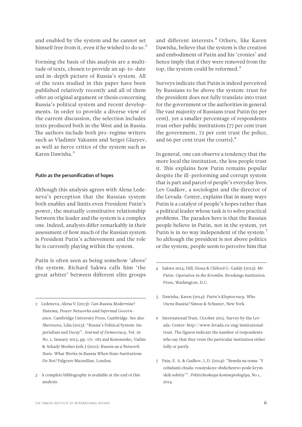<span id="page-5-0"></span>and enabled by the system and he cannot set himself free from it, even if he wished to do so.<sup>2</sup>

Forming the basis of this analysis are a multitude of texts, chosen to provide an up-to-date and in-depth picture of Russia's system. All of the texts studied in this paper have been published relatively recently and all of them offer an original argument or thesis concerning Russia's political system and recent developments. In order to provide a diverse view of the current discussion, the selection includes texts produced both in the West and in Russia. The authors include both pro-regime writers such as Vladimir Yakunin and Sergei Glazyev, as well as fierce critics of the system such as Karen Dawisha.3

#### Putin as the personification of hopes

Although this analysis agrees with Alena Ledeneva's perception that the Russian system both enables and limits even President Putin's power, the mutually constitutive relationship between the leader and the system is a complex one. Indeed, analysts differ remarkably in their assessment of how much of the Russian system is President Putin's achievement and the role he is currently playing within the system.

Putin is often seen as being somehow 'above' the system. Richard Sakwa calls him 'the great arbiter' between different elite groups

- 2 Ledeneva, Alena V. (2013): *Can Russia Modernise? Sistema, Power Networks and Informal Governance*. Cambridge University Press, Cambridge. See also Shevtsova, Lilia (2015): "Russia's Political System: Imperialism and Decay". *Journal of Democracy*, Vol. 26 No. 1, January 2015, pp. 171–182 and Kononenko, Vadim & Arkady Moshes (eds.) (2011): *Russia as a Network State. What Works in Russia When State Institutions Do Not?* Palgrave Macmillan, London.
- 3 A complete bibliography is available at the end of this analysis.

and different interests.<sup>4</sup> Others, like Karen Dawisha, believe that the system is the creation and embodiment of Putin and his 'cronies' and hence imply that if they were removed from the top, the system could be reformed.<sup>5</sup>

Surveys indicate that Putin is indeed perceived by Russians to be above the system: trust for the president does not fully translate into trust for the government or the authorities in general. The vast majority of Russians trust Putin (91 per cent), yet a smaller percentage of respondents trust other public institutions (77 per cent trust the government, 72 per cent trust the police, and 66 per cent trust the courts).<sup>6</sup>

In general, one can observe a tendency that the more local the institution, the less people trust it. This explains how Putin remains popular despite the ill-performing and corrupt system that is part and parcel of people's everyday lives. Lev Gudkov, a sociologist and the director of the Levada-Center, explains that in many ways Putin is a catalyst of people's hopes rather than a political leader whose task is to solve practical problems. The paradox here is that the Russian people believe in Putin, not in the system, yet Putin is in no way independent of the system.<sup>7</sup> So although the president is not above politics or the system, people seem to perceive him that

- 5 Dawisha, Karen (2014): *Putin's Kleptocracy. Who Owns Russia?* Simon & Schuster, New York.
- 6 International Trust, October 2015. Survey by the Levada-Center: [http://www.levada.ru/eng/institutional](http://www.levada.ru/eng/institutional-trust)[trust.](http://www.levada.ru/eng/institutional-trust) The figures indicate the number of respondents who say that they trust the particular institution either fully or partly.
- 7 Pain, E. A. & Gudkov, L.D. (2014): "Beseda na temu: 'V ozhidanii chuda: rossiyskoye obshchestvo posle krymskih sobitiy'". *Politicheskaya kontseptologiya*, No 1, 2014.

<sup>4</sup> Sakwa 2014; Hill, Fiona & Clifford G. Gaddy (2015): *Mr. Putin. Operative in the Kremlin.* Brookings Institution Press, Washington, D.C.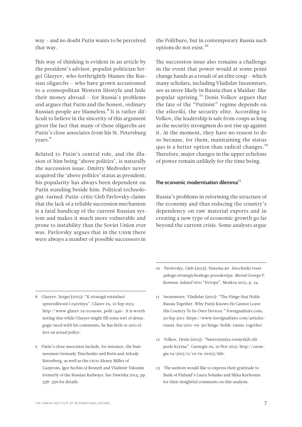fect on actual policy.

8 Glazyev, Sergei (2015): "K strategii sotsialnoi

spravedlivosti i razvitiya". Glazev.ru, 10 Sep 2015: [http://www.glazev.ru/econom\\_polit/446/](http://www.glazev.ru/econom_polit/446/). It is worth noting that while Glazyev might fill some sort of demagogic need with his comments, he has little or zero ef-

Rotenberg, as well as the CEOs Alexey Miller of Gazprom, Igor Sechin of Rosneft and Vladimir Yakunin formerly of the Russian Railways. See Dawisha 2014, pp. 338–339 for details.

9 Putin's close associates include, for instance, the busi-

- *yskogo strategicheskogo povedeniya. Metod George F. Kennan.* Izdatel'stvo "Evropa", Moskva 2015, p. 24.
	- 11 Inozemtsev, Vladislav (2011): "The Hinge that Holds Russia Together. Why Putin Knows He Cannot Leave His Country To Its Own Devices." Foreignaffairs.com, [30 Sep 2011: https://www.foreignaffairs.com/articles/](https://www.foreignaffairs.com/articles/russia-fsu/2011-09-30/hinge-holds-russia-together) russia-fsu/2011-09-30/hinge-holds-russia-together.

10 Pavlovsky, Gleb (2015): *Sistema RF. Istochniki rossi-*

- 12 Volkov, Denis (2015): "Nastroyeniya rossiyskih elit posle Kryma". Carnegie.ru, 10 Nov 2015: [http://carne](http://carnegie.ru/2015/11/10/ru-61925/ildv)[gie.ru/2015/11/10/ru-61925/ildv.](http://carnegie.ru/2015/11/10/ru-61925/ildv)
- 13 The authors would like to express their gratitude to Bank of Finland's Laura Solanko and Iikka Korhonen for their insightful comments on this analysis.

<span id="page-6-0"></span>way – and no doubt Putin wants to be perceived that way.

This way of thinking is evident in an article by the president's advisor, populist politician Sergei Glazyev, who forthrightly blames the Russian oligarchs – who have grown accustomed to a cosmopolitan Western lifestyle and hide their money abroad – for Russia's problems and argues that Putin and the honest, ordinary Russian people are blameless.8 It is rather difficult to believe in the sincerity of this argument given the fact that many of these oligarchs are Putin's close associates from his St. Petersburg years.<sup>9</sup>

Related to Putin's central role, and the illusion of him being 'above politics', is naturally the succession issue. Dmitry Medvedev never acquired the 'above politics' status as president; his popularity has always been dependent on Putin standing beside him. Political technologist-turned-Putin-critic Gleb Pavlovsky claims that the lack of a reliable succession mechanism is a fatal handicap of the current Russian system and makes it much more vulnerable and prone to instability than the Soviet Union ever was. Pavlovsky argues that in the USSR there were always a number of possible successors in

the Politburo, but in contemporary Russia such options do not exist.<sup>10</sup>

The succession issue also remains a challenge in the event that power would at some point change hands as a result of an elite coup – which many scholars, including Vladislav Inozemtsev, see as more likely in Russia than a Maidan-like popular uprising.11 Denis Volkov argues that the fate of the "Putinist" regime depends on the *siloviki*, the security elite. According to Volkov, the leadership is safe from coups as long as the security strongmen do not rise up against it. At the moment, they have no reason to do so because, for them, maintaining the status quo is a better option than radical changes. $^{12}$ Therefore, major changes in the upper echelons of power remain unlikely for the time being.

### The economic modernisation dilemma $<sup>13</sup>$ </sup>

Russia's problems in reforming the structure of the economy and thus reducing the country's dependency on raw material exports and in creating a new type of economic growth go far beyond the current crisis. Some analysts argue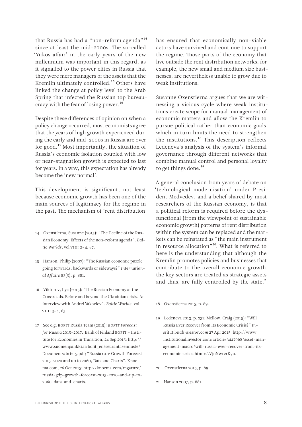that Russia has had a "non-reform agenda"<sup>14</sup> since at least the mid-2000s. The so-called 'Yukos affair' in the early years of the new millennium was important in this regard, as it signalled to the power elites in Russia that they were mere managers of the assets that the Kremlin ultimately controlled.<sup>15</sup> Others have linked the change at policy level to the Arab Spring that infected the Russian top bureaucracy with the fear of losing power.<sup>16</sup>

Despite these differences of opinion on when a policy change occurred, most economists agree that the years of high growth experienced during the early and mid-2000s in Russia are over for good.17 Most importantly, the situation of Russia's economic isolation coupled with low or near-stagnation growth is expected to last for years. In a way, this expectation has already become the 'new normal'.

This development is significant, not least because economic growth has been one of the main sources of legitimacy for the regime in the past. The mechanism of 'rent distribution'

- 15 Hanson, Philip (2007): "The Russian economic puzzle: going forwards, backwards or sideways?" *International Affairs* 83(5), p. 881.
- 16 Viktorov, Ilya (2015): "The Russian Economy at the Crossroads. Before and beyond the Ukrainian crisis. An interview with Andrei Yakovlev". *Baltic Worlds*, vol VIII: 3–4, 65.
- 17 See e.g. BOFIT Russia Team (2015): *BOFIT Forecast for Russia* 2015–2017. Bank of Finland BOFIT – Institute for Economies in Transition, 24 Sep 2015: [http://](http://www.suomenpankki.fi/bofit_en/seuranta/ennuste/Documents/brf215.pdf) [www.suomenpankki.fi/bofit\\_en/seuranta/ennuste/](http://www.suomenpankki.fi/bofit_en/seuranta/ennuste/Documents/brf215.pdf) [Documents/brf215.pdf](http://www.suomenpankki.fi/bofit_en/seuranta/ennuste/Documents/brf215.pdf); "Russia GDP Growth Forecast 2015–2020 and up to 2060, Data and Charts". Knoema.com, 26 Oct 2015: [http://knoema.com/mgarnze/](http://knoema.com/mgarnze/russia-gdp-growth-forecast-2015-2020-and-up-to-2060-data-and-charts) [russia-gdp-growth-forecast-2015-2020-and-up-to-](http://knoema.com/mgarnze/russia-gdp-growth-forecast-2015-2020-and-up-to-2060-data-and-charts)[2060-data-and-charts.](http://knoema.com/mgarnze/russia-gdp-growth-forecast-2015-2020-and-up-to-2060-data-and-charts)

has ensured that economically non-viable actors have survived and continue to support the regime. Those parts of the economy that live outside the rent distribution networks, for example, the new small and medium size businesses, are nevertheless unable to grow due to weak institutions.

Susanne Oxenstierna argues that we are witnessing a vicious cycle where weak institutions create scope for manual management of economic matters and allow the Kremlin to pursue political rather than economic goals, which in turn limits the need to strengthen the institutions.18 This description reflects Ledeneva's analysis of the system's informal governance through different networks that combine manual control and personal loyalty to get things done.<sup>19</sup>

A general conclusion from years of debate on 'technological modernisation' under President Medvedev, and a belief shared by most researchers of the Russian economy, is that a political reform is required before the dysfunctional (from the viewpoint of sustainable economic growth) patterns of rent distribution within the system can be replaced and the markets can be reinstated as "the main instrument in resource allocation"<sup>20</sup>. What is referred to here is the understanding that although the Kremlin promotes policies and businesses that contribute to the overall economic growth, the key sectors are treated as strategic assets and thus, are fully controlled by the state. $^{21}$ 

18 Oxenstierna 2015, p. 89.

- 19 Ledeneva 2013, p. 231; Mellow, Craig (2015): "Will Russia Ever Recover from Its Economic Crisis?" *Institutionalinvestor.com* 27 Apr 2015: http://www. [institutionalinvestor.com/article/3447968/asset-man](http://www.institutionalinvestor.com/article/3447968/asset-management-macro/will-russia-ever-recover-from-its-economic-crisis.html#/.VjnNwrcrK70)agement-macro/will-russia-ever-recover-from-itseconomic-crisis.html#/.VjnNwrcrK70.
- 20 Oxenstierna 2015, p. 89.
- 21 Hanson 2007, p. 881.

<sup>14</sup> Oxenstierna, Susanne (2015): "The Decline of the Russian Economy. Effects of the non-reform agenda". *Baltic Worlds*, vol VIII: 3–4, 87.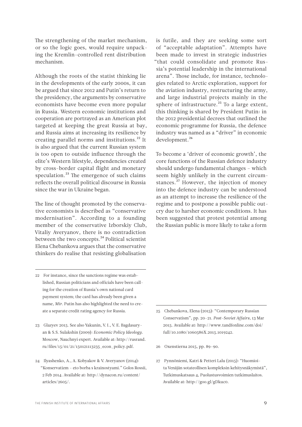The strengthening of the market mechanism, or so the logic goes, would require unpacking the Kremlin-controlled rent distribution mechanism.

Although the roots of the statist thinking lie in the developments of the early 2000s, it can be argued that since 2012 and Putin's return to the presidency, the arguments by conservative economists have become even more popular in Russia. Western economic institutions and cooperation are portrayed as an American plot targeted at keeping the great Russia at bay, and Russia aims at increasing its resilience by creating parallel norms and institutions.<sup>22</sup> It is also argued that the current Russian system is too open to outside influence through the elite's Western lifestyle, dependencies created by cross-border capital flight and monetary speculation. $^{23}$  The emergence of such claims reflects the overall political discourse in Russia since the war in Ukraine began.

The line of thought promoted by the conservative economists is described as "conservative modernisation". According to a founding member of the conservative Izborskiy Club, Vitaliy Averyanov, there is no contradiction between the two concepts.<sup>24</sup> Political scientist Elena Chebankova argues that the conservative thinkers do realise that resisting globalisation

- 22 For instance, since the sanctions regime was established, Russian politicians and officials have been calling for the creation of Russia's own national card payment system; the card has already been given a name, *Mir*. Putin has also highlighted the need to create a separate credit rating agency for Russia.
- 23 Glazyev 2015. See also Yakunin, V. I., V. E. Bagdasaryan & S.S. Sulakshin (2009): *Economic Policy Ideology.* Moscow, Nauchnyi expert. Available at: [http://rusrand.](http://rusrand.ru/files/15/01/21/150121113235_econ_policy.pdf) [ru/files/15/01/21/150121113235\\_econ\\_policy.pdf.](http://rusrand.ru/files/15/01/21/150121113235_econ_policy.pdf)
- 24 Ilyashenko, A., A. Kobyakov & V. Averyanov (2014): "Konservatizm – eto borba s krainostyami." Golos Rossii, 2 Feb 2014. Available at: [http://dynacon.ru/content/](http://dynacon.ru/content/articles/2605/) [articles/2605/.](http://dynacon.ru/content/articles/2605/)

is futile, and they are seeking some sort of "acceptable adaptation". Attempts have been made to invest in strategic industries "that could consolidate and promote Russia's potential leadership in the international arena". Those include, for instance, technologies related to Arctic exploration, support for the aviation industry, restructuring the army, and large industrial projects mainly in the sphere of infrastructure.<sup>25</sup> To a large extent, this thinking is shared by President Putin: in the 2012 presidential decrees that outlined the economic programme for Russia, the defence industry was named as a "driver" in economic development.<sup>26</sup>

To become a 'driver of economic growth', the core functions of the Russian defence industry should undergo fundamental changes – which seem highly unlikely in the current circumstances.<sup>27</sup> However, the injection of money into the defence industry can be understood as an attempt to increase the resilience of the regime and to postpone a possible public outcry due to harsher economic conditions. It has been suggested that protest potential among the Russian public is more likely to take a form

- 25 Chebankova, Elena (2015): "Contemporary Russian Conservatism", pp. 20–21. *Post-Soviet Affairs*, 13 Mar 2015. Available at: [http://www.tandfonline.com/doi/](http://www.tandfonline.com/doi/full/10.1080/1060586X.2015.1019242) [full/10.1080/1060586X.2015.1019242.](http://www.tandfonline.com/doi/full/10.1080/1060586X.2015.1019242)
- 26 Oxenstierna 2015, pp. 89–90.
- 27 Pynnöniemi, Katri & Petteri Lalu (2015): "Huomioita Venäjän sotateollisen kompleksin kehitysnäkymistä", Tutkimuskatsaus 4, Puolustusvoimien tutkimuslaitos. Available at: [http://goo.gl/gDkuc0.](http://goo.gl/gDkuc0)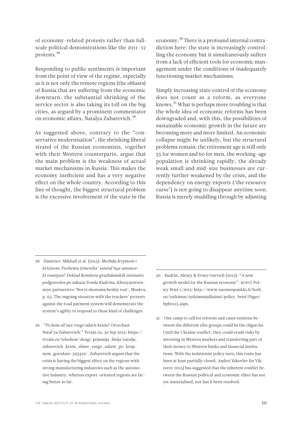of economy-related protests rather than fullscale political demonstrations like the 2011–12 protests.28

Responding to public sentiments is important from the point of view of the regime, especially as it is not only the remote regions (the *oblasts*) of Russia that are suffering from the economic downturn: the substantial shrinking of the service sector is also taking its toll on the big cities, as argued by a prominent commentator on economic affairs, Natalya Zubarevich.<sup>29</sup>

As suggested above, contrary to the "conservative modernisation", the shrinking liberal strand of the Russian economists, together with their Western counterparts, argue that the main problem is the weakness of actual market mechanisms in Russia. This makes the economy inefficient and has a very negative effect on the whole country. According to this line of thought, the biggest structural problem is the excessive involvement of the state in the

economy.30 There is a profound internal contradiction here: the state is increasingly controlling the economy but it simultaneously suffers from a lack of efficient tools for economic management under the conditions of inadequately functioning market mechanisms.

Simply increasing state control of the economy does not count as a reform, as everyone knows.31 What is perhaps more troubling is that the whole idea of economic reforms has been downgraded and, with this, the possibilities of sustainable economic growth in the future are becoming more and more limited. An economic collapse might be unlikely, but the structural problems remain: the retirement age is still only 55 for women and 60 for men, the working-age population is shrinking rapidly, the already weak small and mid-size businesses are currently further weakened by the crisis, and the dependency on energy exports ('the resource curse') is not going to disappear anytime soon. Russia is merely muddling through by adjusting

- 28 Dmitriev, Mikhail et al. (2015): *Mezhdu Krymom i krizisom. Pochemu izmenilis' sotsial'nye ustanovki rossiyan? Doklad Komitetu grazhdanskih initsiativ podgotovlen po zakazu Fonda Kudrina.* Khozyaystvennoye partnerstvo 'Novyi ekonomicheskiy rost', Moskva, p. 65. The ongoing situation with the truckers' protests against the road payment system will demonstrate the system's agility to respond to these kind of challenges.
- 29 "Po kom sil'nee vsego udarit krizis? Otvechaet Natal'ya Zubarevich." Tvrain.ru, 30 Sep 2015: [https://](https://tvrain.ru/teleshow/dengi_prjamaja_linija/natalja_zubarevich_krizis_silnee_vsego_udarit_po_krupnym_gorodam-395429/) [tvrain.ru/teleshow/dengi\\_prjamaja\\_linija/natalja\\_](https://tvrain.ru/teleshow/dengi_prjamaja_linija/natalja_zubarevich_krizis_silnee_vsego_udarit_po_krupnym_gorodam-395429/) [zubarevich\\_krizis\\_silnee\\_vsego\\_udarit\\_po\\_krup](https://tvrain.ru/teleshow/dengi_prjamaja_linija/natalja_zubarevich_krizis_silnee_vsego_udarit_po_krupnym_gorodam-395429/)[nym\\_gorodam-395429/.](https://tvrain.ru/teleshow/dengi_prjamaja_linija/natalja_zubarevich_krizis_silnee_vsego_udarit_po_krupnym_gorodam-395429/) Zubarevich argues that the crisis is having the biggest effect on the regions with strong manufacturing industries such as the automotive industry, whereas export-oriented regions are faring better so far.
- 30 Kudrin, Alexey & Evsey Gurvich (2015): "A new growth model for the Russian economy". BOFIT Policy Brief 1/2015: [http://www.suomenpankki.fi/bofit\\_](http://www.suomenpankki.fi/bofit_en/tutkimus/tutkimusjulkaisut/policy_brief/Pages/bpb0115.aspx) [en/tutkimus/tutkimusjulkaisut/policy\\_brief/Pages/](http://www.suomenpankki.fi/bofit_en/tutkimus/tutkimusjulkaisut/policy_brief/Pages/bpb0115.aspx) [bpb0115.aspx.](http://www.suomenpankki.fi/bofit_en/tutkimus/tutkimusjulkaisut/policy_brief/Pages/bpb0115.aspx)
- 31 One camp to call for reforms and cause tensions between the different elite groups could be the oligarchs. Until the Ukraine conflict, they could evade risks by investing in Western markets and transferring part of their money to Western banks and financial institutions. With the isolationist policy turn, this route has been at least partially closed. Andrei Yakovlev (in Viktorov 2015) has suggested that the inherent conflict between the Russian political and economic elites has not yet materialised, nor has it been resolved.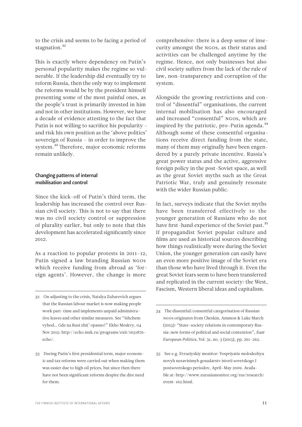<span id="page-10-0"></span>to the crisis and seems to be facing a period of stagnation.<sup>32</sup>

This is exactly where dependency on Putin's personal popularity makes the regime so vulnerable. If the leadership did eventually try to reform Russia, then the only way to implement the reforms would be by the president himself presenting some of the most painful ones, as the people's trust is primarily invested in him and not in other institutions. However, we have a decade of evidence attesting to the fact that Putin is not willing to sacrifice his popularity – and risk his own position as the 'above politics' sovereign of Russia – in order to improve the system.<sup>33</sup> Therefore, major economic reforms remain unlikely.

# Changing patterns of internal mobilisation and control

Since the kick-off of Putin's third term, the leadership has increased the control over Russian civil society. This is not to say that there was no civil society control or suppression of plurality earlier, but only to note that this development has accelerated significantly since 2012.

As a reaction to popular protests in 2011–12, Putin signed a law branding Russian NGOs which receive funding from abroad as 'foreign agents'. However, the change is more

- 32 On adjusting to the crisis, Natalya Zubarevich argues that the Russian labour market is now making people work part-time and implements unpaid administrative leaves and other similar measures. See "Ishchem vyhod… Gde na Rusi zhit' opasno?" Ekho Moskvy, 04 Nov 2015: [http://echo.msk.ru/programs/exit/1651876](http://echo.msk.ru/programs/exit/1651876-echo/) [echo/.](http://echo.msk.ru/programs/exit/1651876-echo/)
- 33 During Putin's first presidential term, major economic and tax reforms were carried out when making them was easier due to high oil prices, but since then there have not been significant reforms despite the dire need for them.

comprehensive: there is a deep sense of insecurity amongst the NGOs, as their status and activities can be challenged anytime by the regime. Hence, not only businesses but also civil society suffers from the lack of the rule of law, non-transparency and corruption of the system.

Alongside the growing restrictions and control of "dissentful" organisations, the current internal mobilisation has also encouraged and increased "consentful" NGOs, which are inspired by the patriotic, pro-Putin agenda. $34$ Although some of these consentful organisations receive direct funding from the state, many of them may originally have been engendered by a purely private incentive. Russia's great power status and the active, aggressive foreign policy in the post-Soviet space, as well as the great Soviet myths such as the Great Patriotic War, truly and genuinely resonate with the wider Russian public.

In fact, surveys indicate that the Soviet myths have been transferred effectively to the younger generation of Russians who do not have first-hand experience of the Soviet past.<sup>35</sup> If propagandist Soviet popular culture and films are used as historical sources describing how things realistically were during the Soviet Union, the younger generation can easily have an even more positive image of the Soviet era than those who have lived through it. Even the great Soviet fears seem to have been transferred and replicated in the current society: the West, Fascism, Western liberal ideas and capitalism.

<sup>34</sup> The dissentful/consentful categorisation of Russian NGOs originates from Cheskin, Ammon & Luke March (2015): "State–society relations in contemporary Russia: new forms of political and social contention", *East European Politics*, Vol. 31, no. 3 (2015), pp. 261–262.

<sup>35</sup> See e.g. Evraziyskiy monitor: Vospriyatie molodezhyu novyh nezavisimyh gosudarstv istorii sovetskogo I postsovetskogo periodov, April–May 2009. Available at: [http://www.eurasiamonitor.org/rus/research/](http://www.eurasiamonitor.org/rus/research/event-162.html) [event-162.html.](http://www.eurasiamonitor.org/rus/research/event-162.html)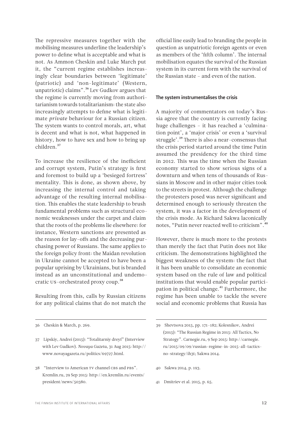<span id="page-11-0"></span>The repressive measures together with the mobilising measures underline the leadership's power to define what is acceptable and what is not. As Ammon Cheskin and Luke March put it, the "current regime establishes increasingly clear boundaries between 'legitimate' (patriotic) and 'non-legitimate' (Western, unpatriotic) claims".36 Lev Gudkov argues that the regime is currently moving from authoritarianism towards totalitarianism: the state also increasingly attempts to define what is legitimate *private* behaviour for a Russian citizen. The system wants to control morals, art, what is decent and what is not, what happened in history, how to have sex and how to bring up children<sup>37</sup>

To increase the resilience of the inefficient and corrupt system, Putin's strategy is first and foremost to build up a 'besieged fortress' mentality. This is done, as shown above, by increasing the internal control and taking advantage of the resulting internal mobilisation. This enables the state leadership to brush fundamental problems such as structural economic weaknesses under the carpet and claim that the roots of the problems lie elsewhere: for instance, Western sanctions are presented as the reason for lay-offs and the decreasing purchasing power of Russians. The same applies to the foreign policy front: the Maidan revolution in Ukraine cannot be accepted to have been a popular uprising by Ukrainians, but is branded instead as an unconstitutional and undemocratic US-orchestrated proxy coup.38

Resulting from this, calls by Russian citizens for any political claims that do not match the

38 "Interview to American TV channel CBS and PBS". Kremlin.ru, 29 Sep 2015: [http://en.kremlin.ru/events/](http://en.kremlin.ru/events/president/news/50380) [president/news/50380](http://en.kremlin.ru/events/president/news/50380).

official line easily lead to branding the people in question as unpatriotic foreign agents or even as members of the 'fifth column'. The internal mobilisation equates the survival of the Russian system in its current form with the survival of the Russian state – and even of the nation.

#### The system instrumentalises the crisis

A majority of commentators on today's Russia agree that the country is currently facing huge challenges – it has reached a 'culmination point', a 'major crisis' or even a 'survival struggle'.39 There is also a near-consensus that the crisis period started around the time Putin assumed the presidency for the third time in 2012. This was the time when the Russian economy started to show serious signs of a downturn and when tens of thousands of Russians in Moscow and in other major cities took to the streets in protest. Although the challenge the protesters posed was never significant and determined enough to seriously threaten the system, it was a factor in the development of the crisis mode. As Richard Sakwa laconically notes, "Putin never reacted well to criticism".40

However, there is much more to the protests than merely the fact that Putin does not like criticism. The demonstrations highlighted the biggest weakness of the system: the fact that it has been unable to consolidate an economic system based on the rule of law and political institutions that would enable popular participation in political change.<sup>41</sup> Furthermore, the regime has been unable to tackle the severe social and economic problems that Russia has

- 40 Sakwa 2014, p. 193.
- 41 Dmitriev et al. 2015, p. 65.

<sup>36</sup> Cheskin & March, p. 269.

<sup>37</sup> Lipskiy, Andrei (2015): "Totalitarniy dreyf" (Interview with Lev Gudkov). *Novaya Gazeta*, 31 Aug 2015: [http://](http://www.novayagazeta.ru/politics/69727.html) [www.novayagazeta.ru/politics/69727.html.](http://www.novayagazeta.ru/politics/69727.html)

<sup>39</sup> Shevtsova 2015, pp. 171–182; Kolesnikov, Andrei (2015): "The Russian Regime in 2015: All Tactics, No Strategy". Carnegie.ru, 9 Sep 2015: [http://carnegie.](http://carnegie.ru/2015/09/09/russian-regime-in-2015-all-tactics-no-strategy/ih3t) [ru/2015/09/09/russian-regime-in-2015-all-tactics](http://carnegie.ru/2015/09/09/russian-regime-in-2015-all-tactics-no-strategy/ih3t)[no-strategy/ih3t](http://carnegie.ru/2015/09/09/russian-regime-in-2015-all-tactics-no-strategy/ih3t); Sakwa 2014.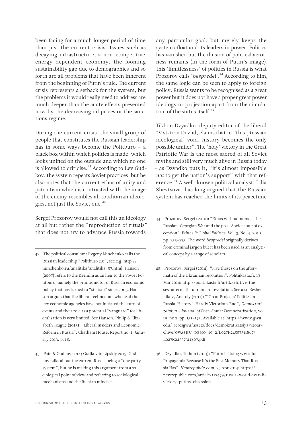been facing for a much longer period of time than just the current crisis. Issues such as decaying infrastructure, a non-competitive, energy-dependent economy, the looming sustainability gap due to demographics and so forth are all problems that have been inherent from the beginning of Putin's rule. The current crisis represents a setback for the system, but the problems it would really need to address are much deeper than the acute effects presented now by the decreasing oil prices or the sanctions regime.

During the current crisis, the small group of people that constitutes the Russian leadership has in some ways become the Politburo – a black box within which politics is made, which looks unified on the outside and which no one is allowed to criticise.<sup>42</sup> According to Lev Gudkov, the system repeats Soviet practices, but he also notes that the current ethos of unity and patriotism which is contrasted with the image of the enemy resembles all totalitarian ideologies, not just the Soviet one.<sup>43</sup>

Sergei Prozorov would not call this an ideology at all but rather the "reproduction of rituals" that does not try to advance Russia towards

- 42 The political consultant Evgeny Minchenko calls the Russian leadership "Politburo 2.0", see e.g. [http://](http://minchenko.ru/analitika/analitika_57.html) [minchenko.ru/analitika/analitika\\_57.html](http://minchenko.ru/analitika/analitika_57.html). Hanson (2007) refers to the Kremlin as an heir to the Soviet Politburo, namely the primus motor of Russian economic policy that has turned to "statism" since 2003. Hanson argues that the liberal technocrats who lead the key economic agencies have not initiated this turn of events and their role as a potential "vanguard" for liberalisation is very limited. See Hanson, Philip & Elizabeth Teague (2013): "Liberal Insiders and Economic Reform in Russia", Chatham House, Report no. 1, January 2013, p. 18.
- 43 Pain & Gudkov 2014; Gudkov in Lipskiy 2015. Gudkov talks about the current Russia being a "one party system", but he is making this argument from a sociological point of view and referring to sociological mechanisms and the Russian mindset.

any particular goal, but merely keeps the system afloat and its leaders in power. Politics has vanished but the illusion of political actorness remains (in the form of Putin's image). This 'limitlessness' of politics in Russia is what Prozorov calls '*bespredel*'.44 According to him, the same logic can be seen to apply to foreign policy. Russia wants to be recognised as a great power but it does not have a proper great power ideology or projection apart from the simulation of the status itself.<sup>45</sup>

Tikhon Dzyadko, deputy editor of the liberal TV station Dozhd, claims that in "this [Russian ideological] void, history becomes the only possible unifier". The 'holy' victory in the Great Patriotic War is the most sacred of all Soviet myths and still very much alive in Russia today – as Dzyadko puts it, "it's almost impossible *not* to get the nation's support" with that reference.46 A well-known political analyst, Lilia Shevtsova, has long argued that the Russian system has reached the limits of its peacetime

- 44 Prozorov, Sergei (2010): "Ethos without nomos: the Russian-Georgian War and the post-Soviet state of exception". *Ethics & Global Politics*, Vol. 3, No. 4, 2010, pp. 255–275. The word *bespredel* originally derives from criminal jargon but it has been used as an analytical concept by a range of scholars.
- 45 Prozorov, Sergei (2014): "Five theses on the aftermath of the Ukrainian revolution". Politiikasta.fi, 13 Mar 2014: [http://politiikasta.fi/artikkeli/five-the](http://politiikasta.fi/artikkeli/five-theses-aftermath-ukrainian-revolution)[ses-aftermath-ukrainian-revolution](http://politiikasta.fi/artikkeli/five-theses-aftermath-ukrainian-revolution). See also Reshetnikov, Anatoly (2011): "'Great Projects' Politics in Russia. History's Hardly Victorious End", *Demokratizatsiya – Journal of Post-Soviet Democratization*, vol. 19, no 2, pp. 151–175. Available at: [https://www.gwu.](https://www.gwu.edu/~ieresgwu/assets/docs/demokratizatsiya%20archive/GWASHU_DEMO_19_2/L027R24557311867/L027R24557311867.pdf) [edu/~ieresgwu/assets/docs/demokratizatsiya%20ar](https://www.gwu.edu/~ieresgwu/assets/docs/demokratizatsiya%20archive/GWASHU_DEMO_19_2/L027R24557311867/L027R24557311867.pdf)[chive/GWASHU\\_DEMO\\_19\\_2/L027R24557311867/](https://www.gwu.edu/~ieresgwu/assets/docs/demokratizatsiya%20archive/GWASHU_DEMO_19_2/L027R24557311867/L027R24557311867.pdf) [L027R24557311867.pdf](https://www.gwu.edu/~ieresgwu/assets/docs/demokratizatsiya%20archive/GWASHU_DEMO_19_2/L027R24557311867/L027R24557311867.pdf).
- 46 Dzyadko, Tikhon (2014): "Putin Is Using WWII for Propaganda Because It's the Best Memory That Russia Has". *Newrepublic.com*, 23 Apr 2014: [https://](https://newrepublic.com/article/117479/russia-world-war-ii-victory-putins-obsession) [newrepublic.com/article/117479/russia-world-war-ii](https://newrepublic.com/article/117479/russia-world-war-ii-victory-putins-obsession)[victory-putins-obsession.](https://newrepublic.com/article/117479/russia-world-war-ii-victory-putins-obsession)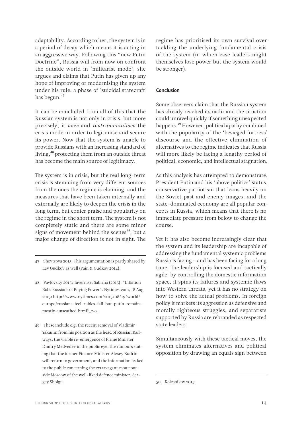<span id="page-13-0"></span>adaptability. According to her, the system is in a period of decay which means it is acting in an aggressive way. Following this "new Putin Doctrine", Russia will from now on confront the outside world in 'militarist mode', she argues and claims that Putin has given up any hope of improving or modernising the system under his rule: a phase of 'suicidal statecraft' has begun.<sup>47</sup>

It can be concluded from all of this that the Russian system is not only in crisis, but more precisely, it *uses* and *instrumentalises* the crisis mode in order to legitimise and secure its power. Now that the system is unable to provide Russians with an increasing standard of living,<sup>48</sup> protecting them from an outside threat has become the main source of legitimacy.

The system is in crisis, but the real long-term crisis is stemming from very different sources from the ones the regime is claiming, and the measures that have been taken internally and externally are likely to deepen the crisis in the long term, but confer praise and popularity on the regime in the short term. The system is not completely static and there are some minor signs of movement behind the scenes<sup>49</sup>, but a major change of direction is not in sight. The

- 47 Shevtsova 2015. This argumentation is partly shared by Lev Gudkov as well (Pain & Gudkov 2014).
- 48 Pavlovsky 2015; Tavernise, Sabrina (2015): "Inflation Robs Russians of Buying Power". Nytimes.com, 18 Aug 2015: [http://www.nytimes.com/2015/08/19/world/](http://www.nytimes.com/2015/08/19/world/europe/russians-feel-rubles-fall-but-putin-remains-mostly-unscathed.html?_r=2) [europe/russians-feel-rubles-fall-but-putin-remains](http://www.nytimes.com/2015/08/19/world/europe/russians-feel-rubles-fall-but-putin-remains-mostly-unscathed.html?_r=2)[mostly-unscathed.html?\\_r=2.](http://www.nytimes.com/2015/08/19/world/europe/russians-feel-rubles-fall-but-putin-remains-mostly-unscathed.html?_r=2)
- 49 These include e.g. the recent removal of Vladimir Yakunin from his position as the head of Russian Railways, the visible re-emergence of Prime Minister Dmitry Medvedev in the public eye, the rumours stating that the former Finance Minister Alexey Kudrin will return to government, and the information leaked to the public concerning the extravagant estate outside Moscow of the well-liked defence minister, Sergey Shoigu.

regime has prioritised its own survival over tackling the underlying fundamental crisis of the system (in which case leaders might themselves lose power but the system would be stronger).

#### Conclusion

Some observers claim that the Russian system has already reached its nadir and the situation could unravel quickly if something unexpected happens.<sup>50</sup> However, political apathy combined with the popularity of the 'besieged fortress' discourse and the effective elimination of alternatives to the regime indicates that Russia will more likely be facing a lengthy period of political, economic, and intellectual stagnation.

As this analysis has attempted to demonstrate, President Putin and his 'above politics' status, conservative patriotism that leans heavily on the Soviet past and enemy images, and the state-dominated economy are all popular concepts in Russia, which means that there is no immediate pressure from below to change the course.

Yet it has also become increasingly clear that the system and its leadership are incapable of addressing the fundamental systemic problems Russia is facing – and has been facing for a long time. The leadership is focused and tactically agile: by controlling the domestic information space, it spins its failures and systemic flaws into Western threats, yet it has no strategy on how to solve the actual problems. In foreign policy it markets its aggression as defensive and morally righteous struggles, and separatists supported by Russia are rebranded as respected state leaders.

Simultaneously with these tactical moves, the system eliminates alternatives and political opposition by drawing an equals sign between

<sup>50</sup> Kolesnikov 2015.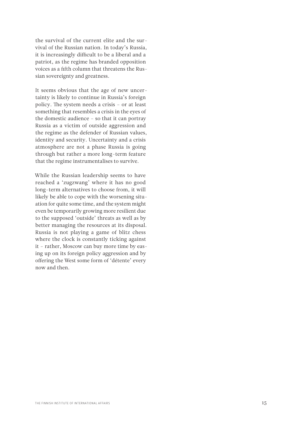the survival of the current elite and the survival of the Russian nation. In today's Russia, it is increasingly difficult to be a liberal and a patriot, as the regime has branded opposition voices as a fifth column that threatens the Russian sovereignty and greatness.

It seems obvious that the age of new uncertainty is likely to continue in Russia's foreign policy. The system needs a crisis – or at least something that resembles a crisis in the eyes of the domestic audience – so that it can portray Russia as a victim of outside aggression and the regime as the defender of Russian values, identity and security. Uncertainty and a crisis atmosphere are not a phase Russia is going through but rather a more long-term feature that the regime instrumentalises to survive.

While the Russian leadership seems to have reached a 'zugzwang' where it has no good long-term alternatives to choose from, it will likely be able to cope with the worsening situation for quite some time, and the system might even be temporarily growing more resilient due to the supposed 'outside' threats as well as by better managing the resources at its disposal. Russia is not playing a game of blitz chess where the clock is constantly ticking against it – rather, Moscow can buy more time by easing up on its foreign policy aggression and by offering the West some form of 'détente' every now and then.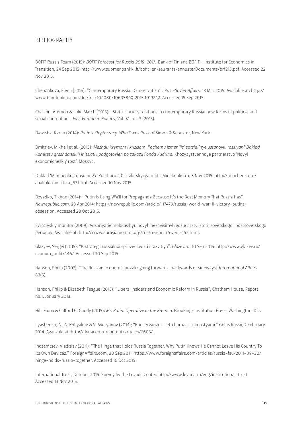# <span id="page-15-0"></span>BIBLIOGRAPHY

BOFIT Russia Team (2015): *BOFIT Forecast for Russia 2015–2017.* Bank of Finland BOFIT – Institute for Economies in Transition, 24 Sep 2015: http://www.suomenpankki.fi/bofit\_en/seuranta/ennuste/Documents/brf215.pdf. Accessed 22 Nov 2015.

Chebankova, Elena (2015): "Contemporary Russian Conservatism". *Post-Soviet Affairs,* 13 Mar 2015. Available at: http:// www.tandfonline.com/doi/full/10.1080/1060586X.2015.1019242. Accessed 15 Sep 2015.

Cheskin, Ammon & Luke March (2015): "State–society relations in contemporary Russia: new forms of political and social contention", *East European Politics*, Vol. 31, no. 3 (2015).

Dawisha, Karen (2014): *Putin's Kleptocracy. Who Owns Russia?* Simon & Schuster, New York.

Dmitriev, Mikhail et al. (2015): *Mezhdu Krymom i krizisom. Pochemu izmenilis' sotsial'nye ustanovki rossiyan? Doklad Komitetu grazhdanskih initsiativ podgotovlen po zakazu Fonda Kudrina.* Khozyaystvennoye partnerstvo 'Novyi ekonomicheskiy rost', Moskva.

["Doklad 'Minchenko Consulting': 'Politburo 2.0' i sibirskyi gambit". Minchenko.ru, 3 Nov 2015: http://minchenko.ru/](http://minchenko.ru/analitika/analitika_57.html) analitika/analitika\_57.html. Accessed 10 Nov 2015.

Dzyadko, Tikhon (2014): "Putin Is Using WWII for Propaganda Because It's the Best Memory That Russia Has". *Newrepublic.com*[, 23 Apr 2014: https://newrepublic.com/article/117479/russia-world-war-ii-victory-putins](https://newrepublic.com/article/117479/russia-world-war-ii-victory-putins-obsession)obsession. Accessed 20 Oct 2015.

Evraziyskiy monitor (2009): Vospriyatie molodezhyu novyh nezavisimyh gosudarstv istorii sovetskogo i postsovetskogo periodov. Available at: http://www.eurasiamonitor.org/rus/research/event-162.html.

[Glazyev, Sergei \(2015\): "K strategii sotsialnoi spravedlivosti i razvitiya".](http://www.glazev.ru/econom_polit/446/) *Glazev.ru*, 10 Sep 2015: http://www.glazev.ru/ econom\_polit/446/. Accessed 30 Sep 2015.

Hanson, Philip (2007): "The Russian economic puzzle: going forwards, backwards or sideways? *International Affairs*  83(5).

Hanson, Philip & Elizabeth Teague (2013): "Liberal Insiders and Economic Reform in Russia", Chatham House, Report no.1, January 2013.

Hill, Fiona & Clifford G. Gaddy (2015): *Mr. Putin. Operative in the Kremlin.* Brookings Institution Press, Washington, D.C.

Ilyashenko, A., A. Kobyakov & V. Averyanov (2014); "Konservatizm – eto borba s krainostyami." Golos Rossii, 2 February 2014. Available at: http://dynacon.ru/content/articles/2605/.

Inozemtsev, Vladislav (2011): "The Hinge that Holds Russia Together. Why Putin Knows He Cannot Leave His Country To [Its Own Devices." ForeignAffairs.com, 30 Sep 2011: https://www.foreignaffairs.com/articles/russia-fsu/2011-09-30/](https://www.foreignaffairs.com/articles/russia-fsu/2011-09-30/hinge-holds-russia-together) hinge-holds-russia-together. Accessed 16 Oct 2015.

International Trust, October 2015. Survey by the Levada Center: http://www.levada.ru/eng/institutional-trust. Accessed 13 Nov 2015.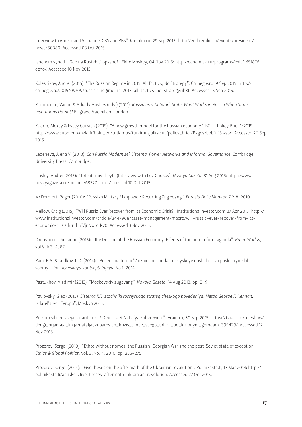["Interview to American TV channel CBS and PBS". Kremlin.ru, 29 Sep 2015: http://en.kremlin.ru/events/president/](http://en.kremlin.ru/events/president/news/50380) news/50380. Accessed 03 Oct 2015.

"Ishchem vyhod… Gde na Rusi zhit' opasno?" Ekho Moskvy, 04 Nov 2015: http://echo.msk.ru/programs/exit/1651876 echo/. Accessed 10 Nov 2015.

Kolesnikov, Andrei (2015): "The Russian Regime in 2015: All Tactics, No Strategy". Carnegie.ru, 9 Sep 2015: http:// carnegie.ru/2015/09/09/russian-regime-in-2015-all-tactics-no-strategy/ih3t. Accessed 15 Sep 2015.

Kononenko, Vadim & Arkady Moshes (eds.) (2011): *Russia as a Network State. What Works in Russia When State Institutions Do Not?* Palgrave Macmillan, London.

Kudrin, Alexey & Evsey Gurvich (2015): "A new growth model for the Russian economy". BOFIT Policy Brief 1/2015: http://www.suomenpankki.fi/bofit\_en/tutkimus/tutkimusjulkaisut/policy\_brief/Pages/bpb0115.aspx. Accessed 20 Sep 2015.

Ledeneva, Alena V. (2013): *Can Russia Modernise? Sistema, Power Networks and Informal Governance.* Cambridge University Press, Cambridge.

[Lipskiy, Andrei \(2015\): "Totalitarniy dreyf" \(Interview with Lev Gudkov\).](http://www.novayagazeta.ru/politics/69727.html) *Novaya Gazeta*, 31 Aug 2015: http://www. novayagazeta.ru/politics/69727.html. Accessed 10 Oct 2015.

McDermott, Roger (2010): "Russian Military Manpower: Recurring Zugzwang." *Eurasia Daily Monitor*, 7.218, 2010.

Mellow, Craig (2015): "Will Russia Ever Recover from Its Economic Crisis?" Institutionalinvestor.com 27 Apr 2015: http:// www.institutionalinvestor.com/article/3447968/asset-management-macro/will-russia-ever-recover-from-itseconomic-crisis.html#/.VjnNwrcrK70. Accessed 3 Nov 2015.

Oxenstierna, Susanne (2015): "The Decline of the Russian Economy. Effects of the non-reform agenda". *Baltic Worlds*, vol VIII: 3–4, 87.

Pain, E.A. & Gudkov, L.D. (2014): "Beseda na temu: 'V ozhidanii chuda: rossiyskoye obshchestvo posle krymskih sobitiy'". *Politicheskaya kontseptologiya*, No 1, 2014.

Pastukhov, Vladimir (2013): "Moskovskiy zugzvang", *Novaya Gazeta*, 14 Aug 2013, pp. 8–9.

Pavlovsky, Gleb (2015): *Sistema RF. Istochniki rossiyskogo strategicheskogo povedeniya. Metod George F. Kennan.* Izdatel'stvo "Evropa", Moskva 2015.

["Po kom sil'nee vsego udarit krizis? Otvechaet Natal'ya Zubarevich." Tvrain.ru, 30 Sep 2015: https://tvrain.ru/teleshow/](https://tvrain.ru/teleshow/dengi_prjamaja_linija/natalja_zubarevich_krizis_silnee_vsego_udarit_po_krupnym_gorodam-395429/) dengi\_prjamaja\_linija/natalja\_zubarevich\_krizis\_silnee\_vsego\_udarit\_po\_krupnym\_gorodam-395429/. Accessed 12 Nov 2015.

Prozorov, Sergei (2010): "Ethos without nomos: the Russian-Georgian War and the post-Soviet state of exception". *Ethics & Global Politics*, Vol. 3, No. 4, 2010, pp. 255–275.

Prozorov, Sergei (2014): "Five theses on the aftermath of the Ukrainian revolution". Politiikasta.fi, 13 Mar 2014: http:// politiikasta.fi/artikkeli/five-theses-aftermath-ukrainian-revolution. Accessed 27 Oct 2015.